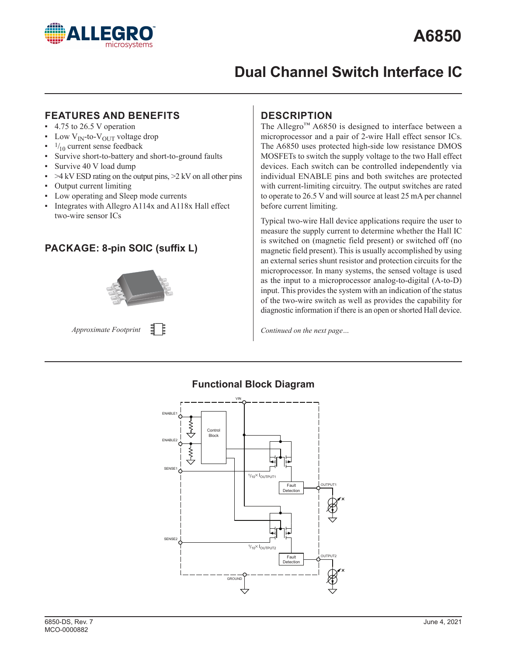

# **Dual Channel Switch Interface IC**

### **FEATURES AND BENEFITS**

- $\cdot$  4.75 to 26.5 V operation
- Low  $V_{IN}$ -to- $V_{OUT}$  voltage drop
- $\cdot$   $\frac{1}{10}$  current sense feedback
- Survive short-to-battery and short-to-ground faults
- Survive 40 V load dump
- $\cdot$  >4 kV ESD rating on the output pins, >2 kV on all other pins
- Output current limiting
- Low operating and Sleep mode currents
- Integrates with Allegro  $A114x$  and  $A118x$  Hall effect two-wire sensor ICs

## **PACKAGE: 8-pin SOIC (suffix L)**



```
目目
Approximate Footprint
```
## **DESCRIPTION**

The Allegro™ A6850 is designed to interface between a microprocessor and a pair of 2-wire Hall effect sensor ICs. The A6850 uses protected high-side low resistance DMOS MOSFETs to switch the supply voltage to the two Hall effect devices. Each switch can be controlled independently via individual ENABLE pins and both switches are protected with current-limiting circuitry. The output switches are rated to operate to 26.5 V and will source at least 25 mA per channel before current limiting.

Typical two-wire Hall device applications require the user to measure the supply current to determine whether the Hall IC is switched on (magnetic field present) or switched off (no magnetic field present). This is usually accomplished by using an external series shunt resistor and protection circuits for the microprocessor. In many systems, the sensed voltage is used as the input to a microprocessor analog-to-digital (A-to-D) input. This provides the system with an indication of the status of the two-wire switch as well as provides the capability for diagnostic information if there is an open or shorted Hall device.

*Continued on the next page…*



### **Functional Block Diagram**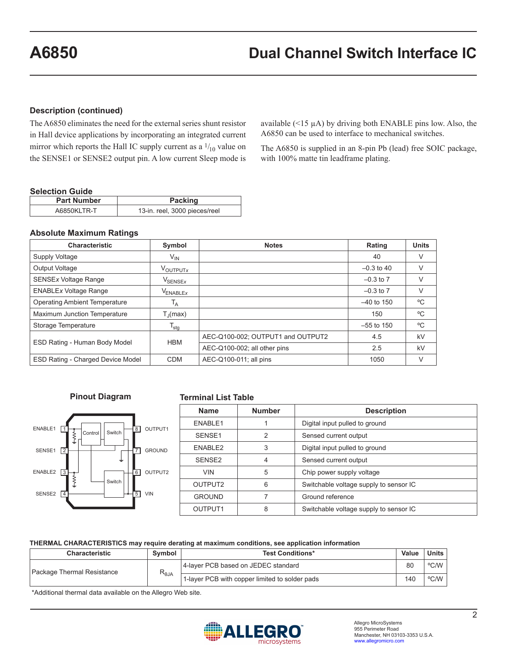#### **Description (continued)**

The A6850 eliminates the need for the external series shunt resistor in Hall device applications by incorporating an integrated current mirror which reports the Hall IC supply current as a  $\frac{1}{10}$  value on the SENSE1 or SENSE2 output pin. A low current Sleep mode is

available  $(\leq 15 \mu A)$  by driving both ENABLE pins low. Also, the A6850 can be used to interface to mechanical switches.

The A6850 is supplied in an 8-pin Pb (lead) free SOIC package, with 100% matte tin leadframe plating.

#### **Selection Guide**

| <b>Part Number</b> | <b>Packing</b>                |
|--------------------|-------------------------------|
| A6850KLTR-T        | 13-in. reel, 3000 pieces/reel |

#### **Absolute Maximum Ratings**

| <b>Characteristic</b>                    | Symbol               | <b>Notes</b>                      | Rating        | <b>Units</b> |
|------------------------------------------|----------------------|-----------------------------------|---------------|--------------|
| Supply Voltage                           | $V_{IN}$             |                                   | 40            | V            |
| Output Voltage                           | VOUTPUTX             |                                   | $-0.3$ to 40  | V            |
| <b>SENSEx Voltage Range</b>              | $V_{\sf SENSEx}$     |                                   | $-0.3$ to $7$ | V            |
| <b>ENABLEx Voltage Range</b>             | V <sub>ENABLEX</sub> |                                   | $-0.3$ to 7   | V            |
| <b>Operating Ambient Temperature</b>     | $T_A$                |                                   | $-40$ to 150  | °C           |
| Maximum Junction Temperature             | $T_{\rm d}$ (max)    |                                   | 150           | °C           |
| Storage Temperature                      | $T_{\text{stg}}$     |                                   | $-55$ to 150  | $^{\circ}$ C |
| ESD Rating - Human Body Model            | <b>HBM</b>           | AEC-Q100-002; OUTPUT1 and OUTPUT2 | 4.5           | kV           |
|                                          |                      | AEC-Q100-002; all other pins      | 2.5           | kV           |
| <b>ESD Rating - Charged Device Model</b> | <b>CDM</b>           | AEC-Q100-011; all pins            | 1050          | V            |

#### **Pinout Diagram**



#### **Terminal List Table**

| <b>Name</b>         | <b>Number</b> | <b>Description</b>                     |  |
|---------------------|---------------|----------------------------------------|--|
| ENABLE1             |               | Digital input pulled to ground         |  |
| SENSE1              | 2             | Sensed current output                  |  |
| ENABLE2             | 3             | Digital input pulled to ground         |  |
| SFNSF <sub>2</sub>  | 4             | Sensed current output                  |  |
| <b>VIN</b>          | 5             | Chip power supply voltage              |  |
| OUTPUT <sub>2</sub> | 6             | Switchable voltage supply to sensor IC |  |
| <b>GROUND</b>       | 7             | Ground reference                       |  |
| OUTPUT <sub>1</sub> | 8             | Switchable voltage supply to sensor IC |  |

#### **THERMAL CHARACTERISTICS may require derating at maximum conditions, see application information**

| <b>Characteristic</b>                         | Symbol                                         | <b>Test Conditions*</b>             | Value | <b>Units</b> |
|-----------------------------------------------|------------------------------------------------|-------------------------------------|-------|--------------|
| $R_{\theta JA}$<br>Package Thermal Resistance |                                                | 4-layer PCB based on JEDEC standard | 80    | °C/W         |
|                                               | 1-layer PCB with copper limited to solder pads | 140                                 | °C/W  |              |

\*Additional thermal data available on the Allegro Web site.

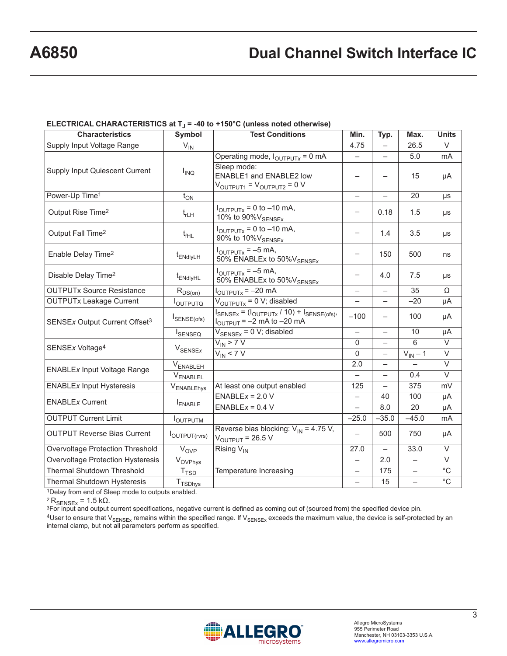# **A6850 Dual Channel Switch Interface IC**

## ELECTRICAL CHARACTERISTICS at T<sub>J</sub> = -40 to +150°C (unless noted otherwise)

| <b>Characteristics</b>                                                           | Symbol                    | <b>Test Conditions</b>                                                                                                            | Min.                     | Typ.                     | Max.                     | <b>Units</b>      |
|----------------------------------------------------------------------------------|---------------------------|-----------------------------------------------------------------------------------------------------------------------------------|--------------------------|--------------------------|--------------------------|-------------------|
| Supply Input Voltage Range                                                       | $V_{IN}$                  |                                                                                                                                   | 4.75                     |                          | 26.5                     | V                 |
|                                                                                  |                           | Operating mode, $I_{\text{OUTPUTX}} = 0$ mA                                                                                       |                          |                          | 5.0                      | mA                |
| <b>Supply Input Quiescent Current</b>                                            | $I_{\text{INQ}}$          | Sleep mode:<br>ENABLE1 and ENABLE2 low<br>$V_{\text{OUTPUT1}} = V_{\text{OUTPUT2}} = 0 V$                                         | $\qquad \qquad -$        |                          | 15                       | μA                |
| Power-Up Time <sup>1</sup>                                                       | $t_{ON}$                  |                                                                                                                                   | $\equiv$                 |                          | 20                       | μs                |
| Output Rise Time <sup>2</sup>                                                    | $t_{rLH}$                 | $I_{\text{OUTPUTx}} = 0$ to $-10$ mA,<br>10% to 90% VSENSEX                                                                       | $\overline{\phantom{0}}$ | 0.18                     | 1.5                      | μs                |
| Output Fall Time <sup>2</sup>                                                    | $t_{\text{fHL}}$          | $I_{\text{OUTPUTX}} = 0$ to $-10$ mA,<br>90% to 10% V <sub>SENSEx</sub>                                                           |                          | 1.4                      | 3.5                      | $\mu s$           |
| Enable Delay Time <sup>2</sup>                                                   | t <sub>ENdlyLH</sub>      | $I_{\text{OUTPUTX}} = -5 \text{ mA}$ ,<br>50% ENABLEx to 50% VSENSEX                                                              | $\overline{\phantom{0}}$ | 150                      | 500                      | ns                |
| Disable Delay Time <sup>2</sup>                                                  | t <sub>ENdlyHL</sub>      | $I_{\text{OUTPUTX}} = -5 \text{ mA}$<br>50% ENABLEx to 50% VSENSEx                                                                |                          | 4.0                      | 7.5                      | μs                |
| <b>OUTPUTx Source Resistance</b>                                                 | $R_{DS(on)}$              | $I_{\text{OUTPUTX}} = -20 \text{ mA}$                                                                                             | $\overline{\phantom{0}}$ | $\overline{\phantom{0}}$ | 35                       | Ω                 |
| <b>OUTPUTx Leakage Current</b>                                                   | Ι <sub>Ουτρυτο</sub>      | $V_{\text{OUTPUTx}} = 0 V;$ disabled                                                                                              | $\equiv$                 | $\overline{\phantom{0}}$ | $-20$                    | μA                |
| SENSEx Output Current Offset <sup>3</sup>                                        | SENSE(ofs)                | $I_{\text{SENSEX}} = (I_{\text{OUTPUTX}} / 10) + I_{\text{SENSE(ofs)}}$<br>$I_{\text{OUTPUT}} = -2 \text{ mA to } -20 \text{ mA}$ | $-100$                   | $\overline{\phantom{0}}$ | 100                      | μA                |
|                                                                                  | <b>I</b> SENSEQ           | $V_{\text{SENSEX}} = 0$ V; disabled                                                                                               |                          | $\overline{\phantom{0}}$ | 10                       | μA                |
| SENSEx Voltage <sup>4</sup>                                                      |                           | $V_{IN}$ > 7 V                                                                                                                    | 0                        | $\overline{\phantom{0}}$ | 6                        | $\vee$            |
|                                                                                  | $V_{\text{SENSEx}}$       | $V_{IN}$ < 7 V                                                                                                                    | 0                        | $\qquad \qquad -$        | $V_{IN} - 1$             | V                 |
| <b>ENABLEx Input Voltage Range</b>                                               | $V_{ENABLEH}$             |                                                                                                                                   | 2.0                      | $\equiv$                 |                          | V                 |
|                                                                                  | V <sub>ENABLEL</sub>      |                                                                                                                                   |                          | $\overline{\phantom{0}}$ | 0.4                      | $\overline{\vee}$ |
| <b>ENABLEx Input Hysteresis</b>                                                  | VENABLEhys                | At least one output enabled                                                                                                       | 125                      | $\overline{\phantom{0}}$ | 375                      | mV                |
| <b>ENABLEx Current</b>                                                           |                           | $ENABLEX = 2.0 V$                                                                                                                 | $\qquad \qquad -$        | 40                       | 100                      | μA                |
|                                                                                  | ENABLE                    | $ENABLEX = 0.4 V$                                                                                                                 | $\overline{\phantom{0}}$ | 8.0                      | 20                       | μA                |
| <b>OUTPUT Current Limit</b>                                                      | <b>I</b> OUTPUTM          |                                                                                                                                   | $-25.0$                  | $-35.0$                  | $-45.0$                  | mA                |
| <b>OUTPUT Reverse Bias Current</b>                                               | $I_{\text{OUTPUT(rvrs)}}$ | Reverse bias blocking: $V_{IN} = 4.75 V$ ,<br>$V_{\text{OUTPUT}}$ = 26.5 V                                                        |                          | 500                      | 750                      | μA                |
| Overvoltage Protection Threshold                                                 | V <sub>OVP</sub>          | Rising V <sub>IN</sub>                                                                                                            | 27.0                     | $\overline{\phantom{0}}$ | 33.0                     | $\overline{\vee}$ |
| <b>Overvoltage Protection Hysteresis</b>                                         | $V_{OVPhys}$              |                                                                                                                                   |                          | 2.0                      | $\overline{\phantom{0}}$ | $\vee$            |
| <b>Thermal Shutdown Threshold</b>                                                | T <sub>TSD</sub>          | Temperature Increasing                                                                                                            | $\overline{\phantom{0}}$ | 175                      | $\overline{\phantom{0}}$ | $\overline{C}$    |
| Thermal Shutdown Hysteresis<br>$10$ and $10$ and $20$ and $10$ and $10$ and $10$ | T <sub>TSDhys</sub>       |                                                                                                                                   |                          | 15                       |                          | $^{\circ}$ C      |

<sup>1</sup>Delay from end of Sleep mode to outputs enabled.<br><sup>2</sup>  $R_{\rm SENSEx}$  = 1.5 kΩ.

3For input and output current specifications, negative current is defined as coming out of (sourced from) the specified device pin.

 $4$ User to ensure that V<sub>SENSEx</sub> remains within the specified range. If V<sub>SENSEx</sub> exceeds the maximum value, the device is self-protected by an internal clamp, but not all parameters perform as specified.

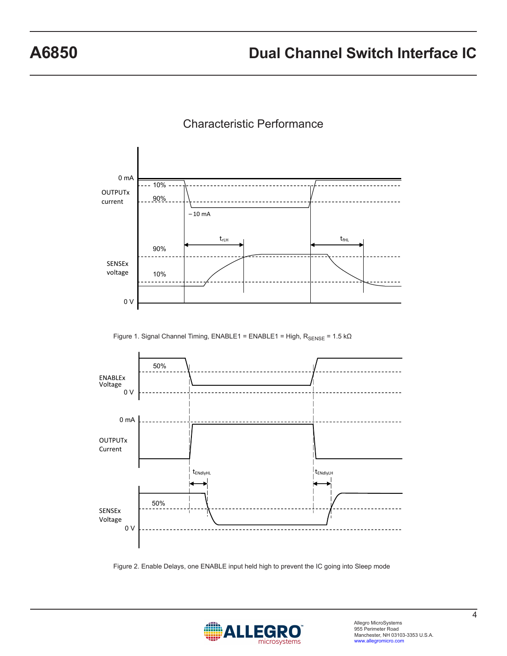

## Characteristic Performance

Figure 1. Signal Channel Timing, ENABLE1 = ENABLE1 = High,  $R_{\rm SENSE}$  = 1.5 k $\Omega$ 



Figure 2. Enable Delays, one ENABLE input held high to prevent the IC going into Sleep mode

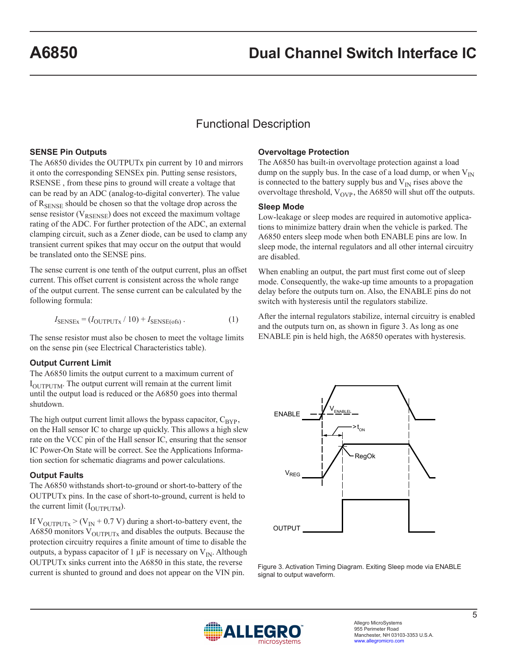# Functional Description

#### **SENSE Pin Outputs**

The A6850 divides the OUTPUTx pin current by 10 and mirrors it onto the corresponding SENSEx pin. Putting sense resistors, RSENSE , from these pins to ground will create a voltage that can be read by an ADC (analog-to-digital converter). The value of R<sub>SENSE</sub> should be chosen so that the voltage drop across the sense resistor ( $V_{RSENSE}$ ) does not exceed the maximum voltage rating of the ADC. For further protection of the ADC, an external clamping circuit, such as a Zener diode, can be used to clamp any transient current spikes that may occur on the output that would be translated onto the SENSE pins.

The sense current is one tenth of the output current, plus an offset current. This offset current is consistent across the whole range of the output current. The sense current can be calculated by the following formula:

$$
I_{\text{SENSEX}} = (I_{\text{OUTPUTX}} / 10) + I_{\text{SENSE(ofs)}}.
$$
 (1)

The sense resistor must also be chosen to meet the voltage limits on the sense pin (see Electrical Characteristics table).

#### **Output Current Limit**

The A6850 limits the output current to a maximum current of  $I<sub>OIITPIITM</sub>$ . The output current will remain at the current limit until the output load is reduced or the A6850 goes into thermal shutdown.

The high output current limit allows the bypass capacitor,  $C_{\text{BYP}}$ , on the Hall sensor IC to charge up quickly. This allows a high slew rate on the VCC pin of the Hall sensor IC, ensuring that the sensor IC Power-On State will be correct. See the Applications Information section for schematic diagrams and power calculations.

#### **Output Faults**

The A6850 withstands short-to-ground or short-to-battery of the OUTPUTx pins. In the case of short-to-ground, current is held to the current limit  $(I_{\text{OUTPUTM}})$ .

If  $V_{\text{OUTPUTX}}$  > (V<sub>IN</sub> + 0.7 V) during a short-to-battery event, the A6850 monitors  $V_{\text{OUTPUT}x}$  and disables the outputs. Because the protection circuitry requires a finite amount of time to disable the outputs, a bypass capacitor of 1  $\mu$ F is necessary on V<sub>IN</sub>. Although OUTPUTx sinks current into the A6850 in this state, the reverse current is shunted to ground and does not appear on the VIN pin.

#### **Overvoltage Protection**

The A6850 has built-in overvoltage protection against a load dump on the supply bus. In the case of a load dump, or when  $V_{IN}$ is connected to the battery supply bus and  $V_{IN}$  rises above the overvoltage threshold,  $V_{OVP}$ , the A6850 will shut off the outputs.

#### **Sleep Mode**

Low-leakage or sleep modes are required in automotive applications to minimize battery drain when the vehicle is parked. The A6850 enters sleep mode when both ENABLE pins are low. In sleep mode, the internal regulators and all other internal circuitry are disabled.

When enabling an output, the part must first come out of sleep mode. Consequently, the wake-up time amounts to a propagation delay before the outputs turn on. Also, the ENABLE pins do not switch with hysteresis until the regulators stabilize.

After the internal regulators stabilize, internal circuitry is enabled and the outputs turn on, as shown in figure 3. As long as one ENABLE pin is held high, the A6850 operates with hysteresis.



Figure 3. Activation Timing Diagram. Exiting Sleep mode via ENABLE signal to output waveform.

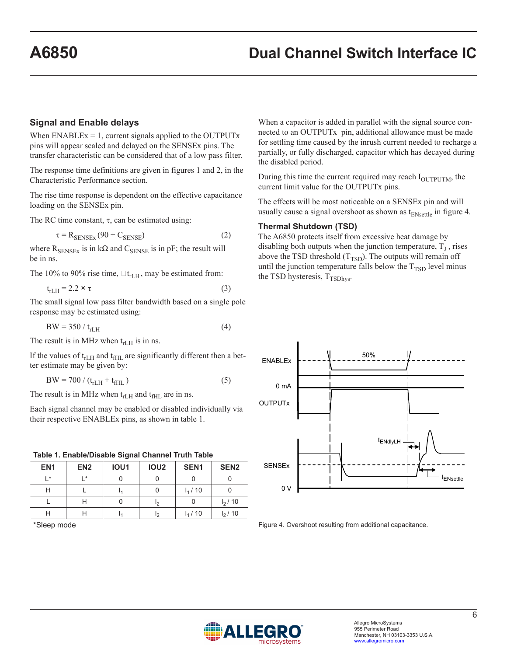#### **Signal and Enable delays**

When  $ENABLEX = 1$ , current signals applied to the OUTPUTx pins will appear scaled and delayed on the SENSEx pins. The transfer characteristic can be considered that of a low pass filter.

The response time definitions are given in figures 1 and 2, in the Characteristic Performance section.

The rise time response is dependent on the effective capacitance loading on the SENSEx pin.

The RC time constant,  $\tau$ , can be estimated using:

 $\tau = R_{\text{SENSEx}} (90 + C_{\text{SENSE}})$  (2)

where  $R_{\text{SENSEX}}$  is in k $\Omega$  and  $C_{\text{SENSE}}$  is in pF; the result will be in ns.

The 10% to 90% rise time,  $\Box t$ <sub>rLH</sub>, may be estimated from:

$$
t_{rLH} = 2.2 \times \tau \tag{3}
$$

The small signal low pass filter bandwidth based on a single pole response may be estimated using:

$$
BW = 350 / trLH
$$
 (4)

The result is in MHz when  $t_{rLH}$  is in ns.

If the values of  $t_{rLH}$  and  $t_{fHL}$  are significantly different then a better estimate may be given by:

$$
BW = 700 / (t_{rLH} + t_{fHL})
$$
 (5)

The result is in MHz when  $t_{rLH}$  and  $t_{fHL}$  are in ns.

Each signal channel may be enabled or disabled individually via their respective ENABLEx pins, as shown in table 1.

|  | Table 1. Enable/Disable Signal Channel Truth Table |  |  |
|--|----------------------------------------------------|--|--|
|  |                                                    |  |  |

| EN <sub>1</sub> | EN <sub>2</sub> | IOU1 | <b>IOU2</b> | SEN <sub>1</sub> | SEN <sub>2</sub> |
|-----------------|-----------------|------|-------------|------------------|------------------|
| $\mathsf{I}$ *  | l *             |      |             |                  |                  |
| Н               |                 |      |             | $I_1/10$         |                  |
|                 | H               |      | Iゥ          |                  | $I_2/10$         |
| Н               | Н               |      | I۰          | $I_1/10$         | $I_2/10$         |

\*Sleep mode

When a capacitor is added in parallel with the signal source connected to an OUTPUTx pin, additional allowance must be made for settling time caused by the inrush current needed to recharge a partially, or fully discharged, capacitor which has decayed during the disabled period.

During this time the current required may reach  $I<sub>OUTPUTM</sub>$ , the current limit value for the OUTPUTx pins.

The effects will be most noticeable on a SENSEx pin and will usually cause a signal overshoot as shown as  $t_{ENsettle}$  in figure 4.

#### **Thermal Shutdown (TSD)**

The A6850 protects itself from excessive heat damage by disabling both outputs when the junction temperature,  $T<sub>I</sub>$ , rises above the TSD threshold  $(T_{TSD})$ . The outputs will remain off until the junction temperature falls below the  $T<sub>TSD</sub>$  level minus the TSD hysteresis,  $T_{TSDhys}$ .



Figure 4. Overshoot resulting from additional capacitance.

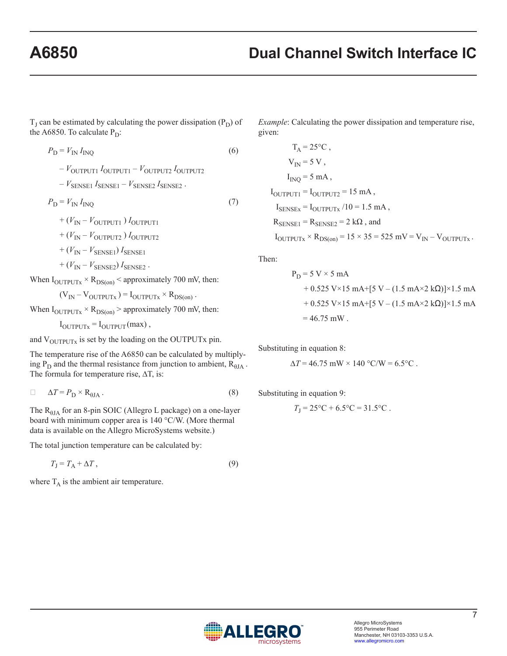# **A6850 Dual Channel Switch Interface IC**

 $T_J$  can be estimated by calculating the power dissipation  $(P_D)$  of the A6850. To calculate  $P_D$ :

 $P_{\rm D} = V_{\rm IN} I_{\rm INO}$  (6)

 $-V_{\text{OUTPUT1}} I_{\text{OUTPUT1}} - V_{\text{OUTPUT2}} I_{\text{OUTPUT2}}$ 

 $-V_{\text{SENSE1}} I_{\text{SENSE1}} - V_{\text{SENSE2}} I_{\text{SENSE2}}$ .

 $P_{\rm D} = V_{\rm IN} I_{\rm INO}$  (7)

 $+(V_{\text{IN}}-V_{\text{OUTPUT1}})I_{\text{OUTPUT1}}$ 

 $+(V_{\text{IN}}-V_{\text{OUTPUT2}})I_{\text{OUTPUT2}}$ 

 $+(V_{\text{IN}}-V_{\text{SENSE1}})I_{\text{SENSE1}}$ 

 $+ (V_{\text{IN}} - V_{\text{SENSE2}}) I_{\text{SENSE2}}$ .

When  $I_{\text{OUTPUTx}} \times R_{\text{DS}(on)}$  < approximately 700 mV, then:

 $(V_{IN} - V_{OUTPUTX}) = I_{OUTPUTX} \times R_{DS(on)}$ .

When  $I_{\text{OUTPUTx}} \times R_{\text{DS(on)}}$  > approximately 700 mV, then:

 $I_{\text{OUTPUTX}} = I_{\text{OUTPUT}}(\text{max})$ ,

and  $V_{\text{OUTPUTX}}$  is set by the loading on the OUTPUTx pin.

The temperature rise of the A6850 can be calculated by multiplying  $P_D$  and the thermal resistance from junction to ambient,  $R_{\theta JA}$ . The formula for temperature rise, ∆T, is:

$$
\Delta T = P_{\rm D} \times R_{\rm \thetaJA} \,. \tag{8}
$$

The RθJA for an 8-pin SOIC (Allegro L package) on a one-layer board with minimum copper area is 140 °C/W. (More thermal data is available on the Allegro MicroSystems website.)

The total junction temperature can be calculated by:

$$
T_{\rm J} = T_{\rm A} + \Delta T \,,\tag{9}
$$

where  $T_A$  is the ambient air temperature.

*Example*: Calculating the power dissipation and temperature rise, given:

$$
T_A = 25^{\circ}\text{C},
$$
  
\n
$$
V_{IN} = 5 \text{ V},
$$
  
\n
$$
I_{INQ} = 5 \text{ mA},
$$
  
\n
$$
I_{OUTPUT1} = I_{OUTPUT2} = 15 \text{ mA},
$$
  
\n
$$
I_{SENSE} = I_{OUTPUTx} / 10 = 1.5 \text{ mA},
$$
  
\n
$$
R_{SENSE1} = R_{SENSE2} = 2 \text{ k}\Omega, \text{ and}
$$
  
\n
$$
I_{OUTPUTx} \times R_{DS(\text{on})} = 15 \times 35 = 525 \text{ mV} = V_{IN} - V_{OUTPUTx}.
$$

Then:

$$
P_D = 5 \text{ V} \times 5 \text{ mA}
$$
  
+ 0.525 \text{ V} \times 15 \text{ mA}+[5 \text{ V} - (1.5 \text{ mA} \times 2 \text{ k}\Omega)] \times 1.5 \text{ mA}  
+ 0.525 \text{ V} \times 15 \text{ mA}+[5 \text{ V} - (1.5 \text{ mA} \times 2 \text{ k}\Omega)] \times 1.5 \text{ mA}  
= 46.75 \text{ mW}.

Substituting in equation 8:

$$
\Delta T = 46.75
$$
 mW × 140 °C/W = 6.5 °C.

Substituting in equation 9:

$$
T_{\rm J} = 25^{\circ}\rm C + 6.5^{\circ}\rm C = 31.5^{\circ}\rm C.
$$

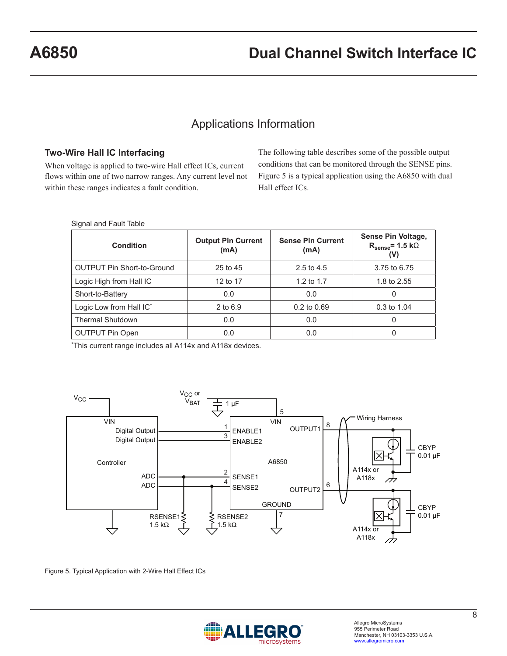# Applications Information

#### **Two-Wire Hall IC Interfacing**

When voltage is applied to two-wire Hall effect ICs, current flows within one of two narrow ranges. Any current level not within these ranges indicates a fault condition.

The following table describes some of the possible output conditions that can be monitored through the SENSE pins. Figure 5 is a typical application using the A6850 with dual Hall effect ICs.

| Signal and Fault Table |  |  |  |
|------------------------|--|--|--|
|------------------------|--|--|--|

| Condition                         | <b>Output Pin Current</b><br>(mA) | <b>Sense Pin Current</b><br>(mA) | Sense Pin Voltage,<br>$R_{\text{sense}} = 1.5 \text{ k}\Omega$<br>(V) |
|-----------------------------------|-----------------------------------|----------------------------------|-----------------------------------------------------------------------|
| <b>OUTPUT Pin Short-to-Ground</b> | 25 to 45                          | 2.5 to 4.5                       | 3.75 to 6.75                                                          |
| Logic High from Hall IC           | 12 to 17                          | 1.2 to $1.7$                     | 1.8 to 2.55                                                           |
| Short-to-Battery                  | 0.0                               | 0.0                              | 0                                                                     |
| Logic Low from Hall IC*           | 2 to 6.9                          | 0.2 to 0.69                      | 0.3 to 1.04                                                           |
| <b>Thermal Shutdown</b>           | 0.0                               | 0.0                              | 0                                                                     |
| <b>OUTPUT Pin Open</b>            | 0.0                               | 0.0                              | 0                                                                     |

\*This current range includes all A114x and A118x devices.



Figure 5. Typical Application with 2-Wire Hall Effect ICs

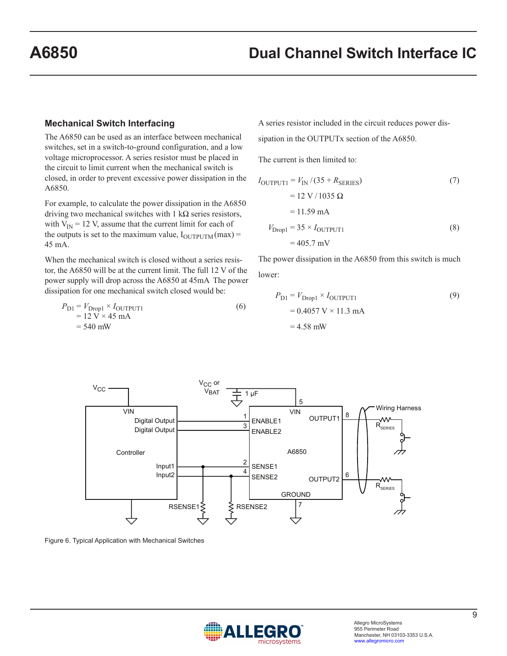#### **Mechanical Switch Interfacing**

The A6850 can be used as an interface between mechanical switches, set in a switch-to-ground configuration, and a low voltage microprocessor. A series resistor must be placed in the circuit to limit current when the mechanical switch is closed, in order to prevent excessive power dissipation in the A6850.

For example, to calculate the power dissipation in the A6850 driving two mechanical switches with  $1 \text{ k}\Omega$  series resistors, with  $V_{\text{IN}}$  = 12 V, assume that the current limit for each of the outputs is set to the maximum value,  $I_{\text{OUTPUTM}}(\text{max}) =$ 45 mA.

When the mechanical switch is closed without a series resistor, the A6850 will be at the current limit. The full 12 V of the power supply will drop across the A6850 at 45mA The power dissipation for one mechanical switch closed would be:

$$
P_{\text{D1}} = V_{\text{Drop1}} \times I_{\text{OUTPUT1}}= 12 \text{ V} \times 45 \text{ mA}= 540 \text{ mW}
$$
 (6)

A series resistor included in the circuit reduces power dissipation in the OUTPUTx section of the A6850.

The current is then limited to:

$$
I_{\text{OUTPUT1}} = V_{\text{IN}} / (35 + R_{\text{SERIES}})
$$
\n
$$
= 12 \text{ V} / 1035 \text{ }\Omega
$$
\n
$$
= 11.59 \text{ mA}
$$
\n
$$
V_{\text{Drop1}} = 35 \times I_{\text{OUTPUT1}}
$$
\n(8)\n
$$
= 405.7 \text{ mV}
$$

The power dissipation in the A6850 from this switch is much lower:

$$
P_{\text{D1}} = V_{\text{Drop1}} \times I_{\text{OUTPUT1}}
$$
  
= 0.4057 V × 11.3 mA  
= 4.58 mW



Figure 6. Typical Application with Mechanical Switches

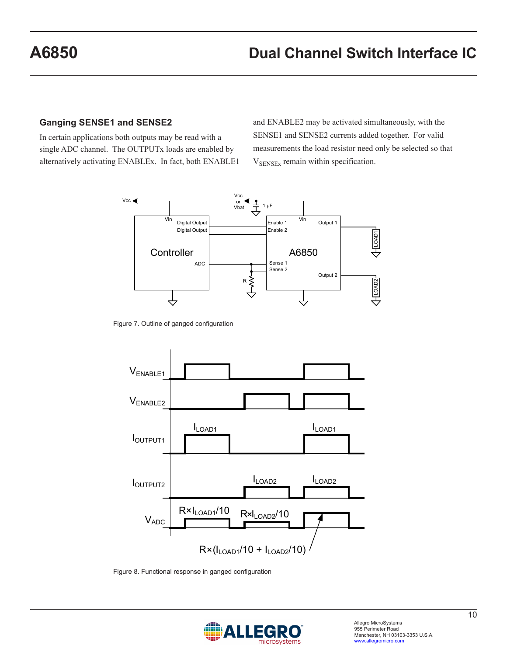### **Ganging SENSE1 and SENSE2**

In certain applications both outputs may be read with a single ADC channel. The OUTPUTx loads are enabled by alternatively activating ENABLEx. In fact, both ENABLE1 and ENABLE2 may be activated simultaneously, with the SENSE1 and SENSE2 currents added together. For valid measurements the load resistor need only be selected so that  $V_{\text{SENSEx}}$  remain within specification.



Figure 7. Outline of ganged configuration



Figure 8. Functional response in ganged configuration

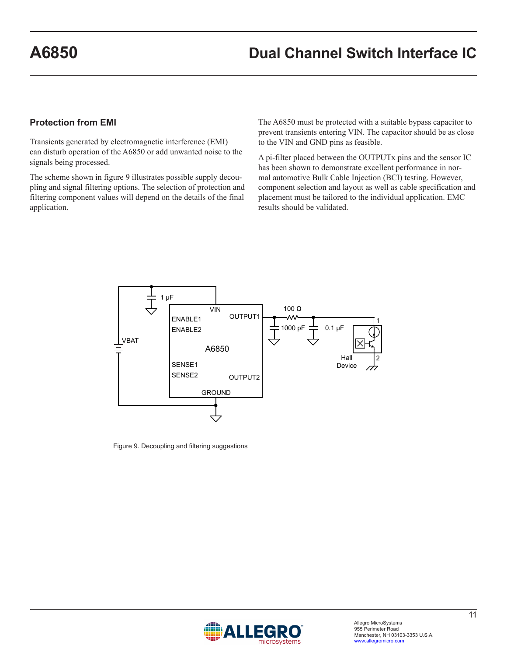### **Protection from EMI**

Transients generated by electromagnetic interference (EMI) can disturb operation of the A6850 or add unwanted noise to the signals being processed.

The scheme shown in figure 9 illustrates possible supply decoupling and signal filtering options. The selection of protection and filtering component values will depend on the details of the final application.

The A6850 must be protected with a suitable bypass capacitor to prevent transients entering VIN. The capacitor should be as close to the VIN and GND pins as feasible.

A pi-filter placed between the OUTPUTx pins and the sensor IC has been shown to demonstrate excellent performance in normal automotive Bulk Cable Injection (BCI) testing. However, component selection and layout as well as cable specification and placement must be tailored to the individual application. EMC results should be validated.



Figure 9. Decoupling and filtering suggestions

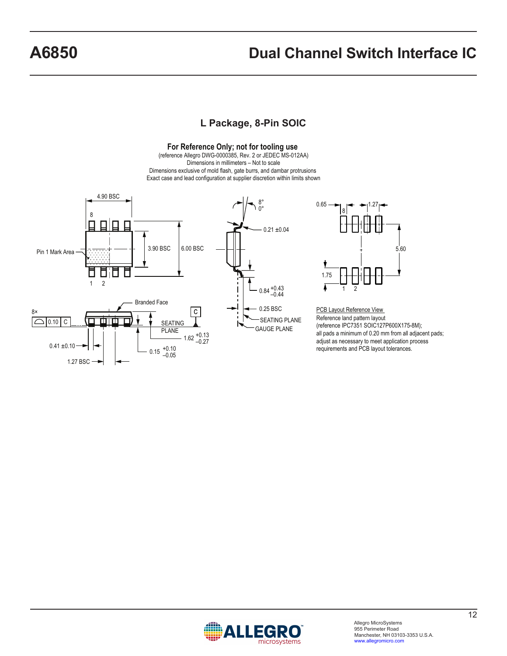# **A6850 Dual Channel Switch Interface IC**

### **L Package, 8-Pin SOIC**